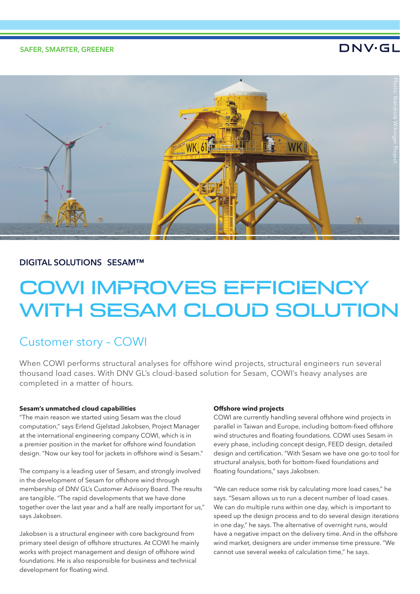# DNV·GL



# **DIGITAL SOLUTIONS SESAM™**

# COWI IMPROVES EFFICIENCY WITH SESAM CLOUD SOLUTION

# Customer story – COWI

When COWI performs structural analyses for offshore wind projects, structural engineers run several thousand load cases. With DNV GL's cloud-based solution for Sesam, COWI's heavy analyses are completed in a matter of hours.

## **Sesam's unmatched cloud capabilities**

"The main reason we started using Sesam was the cloud computation," says Erlend Gjelstad Jakobsen, Project Manager at the international engineering company COWI, which is in a premier position in the market for offshore wind foundation design. "Now our key tool for jackets in offshore wind is Sesam."

The company is a leading user of Sesam, and strongly involved in the development of Sesam for offshore wind through membership of DNV GL's Customer Advisory Board. The results are tangible. "The rapid developments that we have done together over the last year and a half are really important for us," says Jakobsen.

Jakobsen is a structural engineer with core background from primary steel design of offshore structures. At COWI he mainly works with project management and design of offshore wind foundations. He is also responsible for business and technical development for floating wind.

# **Offshore wind projects**

COWI are currently handling several offshore wind projects in parallel in Taiwan and Europe, including bottom-fixed offshore wind structures and floating foundations. COWI uses Sesam in every phase, including concept design, FEED design, detailed design and certification. "With Sesam we have one go-to tool for structural analysis, both for bottom-fixed foundations and floating foundations," says Jakobsen.

"We can reduce some risk by calculating more load cases," he says. "Sesam allows us to run a decent number of load cases. We can do multiple runs within one day, which is important to speed up the design process and to do several design iterations in one day," he says. The alternative of overnight runs, would have a negative impact on the delivery time. And in the offshore wind market, designers are under immense time pressure. "We cannot use several weeks of calculation time," he says.